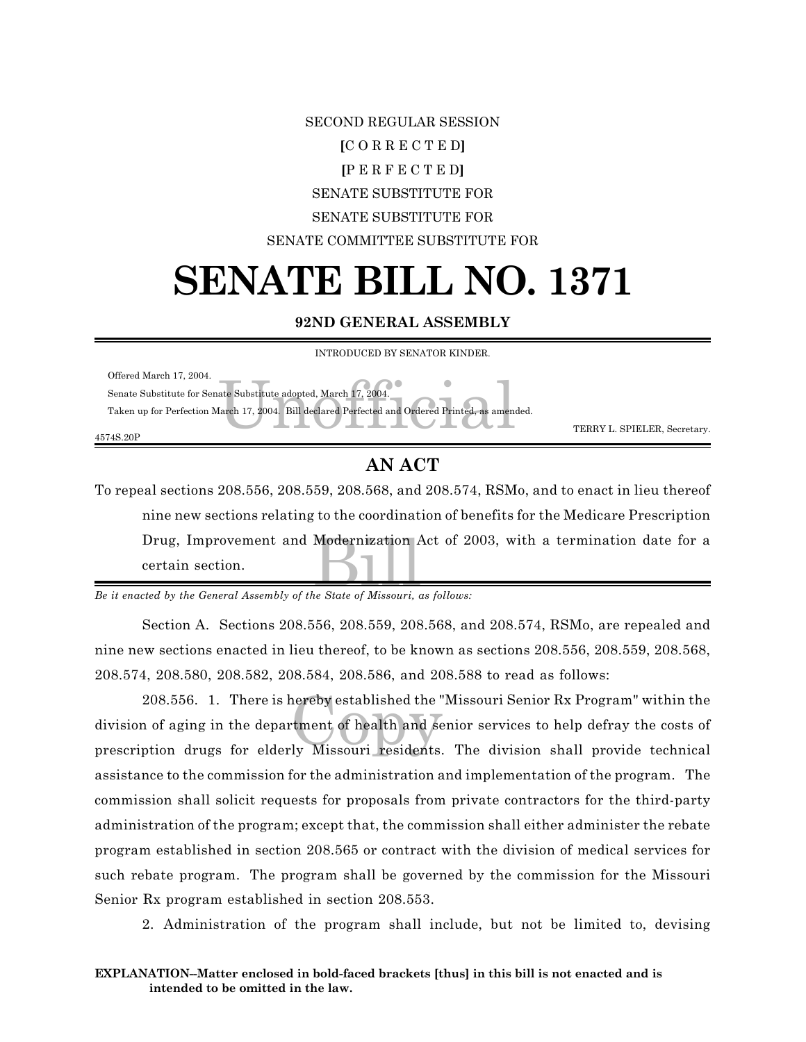## SECOND REGULAR SESSION **[**C O R R E C T E D**] [**P E R F E C T E D**]** SENATE SUBSTITUTE FOR SENATE SUBSTITUTE FOR SENATE COMMITTEE SUBSTITUTE FOR

## **SENATE BILL NO. 1371**

## **92ND GENERAL ASSEMBLY**

| INTRODUCED BY SENATOR KINDER.                                                                    |                              |
|--------------------------------------------------------------------------------------------------|------------------------------|
| Offered March 17, 2004.                                                                          |                              |
| Senate Substitute for Senate Substitute adopted, March 17, 2004.                                 |                              |
| Taken up for Perfection March 17, 2004. Bill declared Perfected and Ordered Printed, as amended. |                              |
| 4574S.20P                                                                                        | TERRY L. SPIELER, Secretary. |
|                                                                                                  |                              |

## **AN ACT**

Drug, Improvement and Modernization Act of 2003, with a termination date for a<br>certain section.<br>ted by the General Assembly of the State of Missouri, as follows: To repeal sections 208.556, 208.559, 208.568, and 208.574, RSMo, and to enact in lieu thereof nine new sections relating to the coordination of benefits for the Medicare Prescription certain section.

*Be it enacted by the General Assembly of the State of Missouri, as follows:*

Section A. Sections 208.556, 208.559, 208.568, and 208.574, RSMo, are repealed and nine new sections enacted in lieu thereof, to be known as sections 208.556, 208.559, 208.568, 208.574, 208.580, 208.582, 208.584, 208.586, and 208.588 to read as follows:

208.556. 1. There is hereby established the "Missouri Senior Rx Program" within the<br>a of aging in the department of health and senior services to help defray the costs of<br>ption drugs for elderly Missouri residents. The div division of aging in the department of health and senior services to help defray the costs of prescription drugs for elderly Missouri residents. The division shall provide technical assistance to the commission for the administration and implementation of the program. The commission shall solicit requests for proposals from private contractors for the third-party administration of the program; except that, the commission shall either administer the rebate program established in section 208.565 or contract with the division of medical services for such rebate program. The program shall be governed by the commission for the Missouri Senior Rx program established in section 208.553.

2. Administration of the program shall include, but not be limited to, devising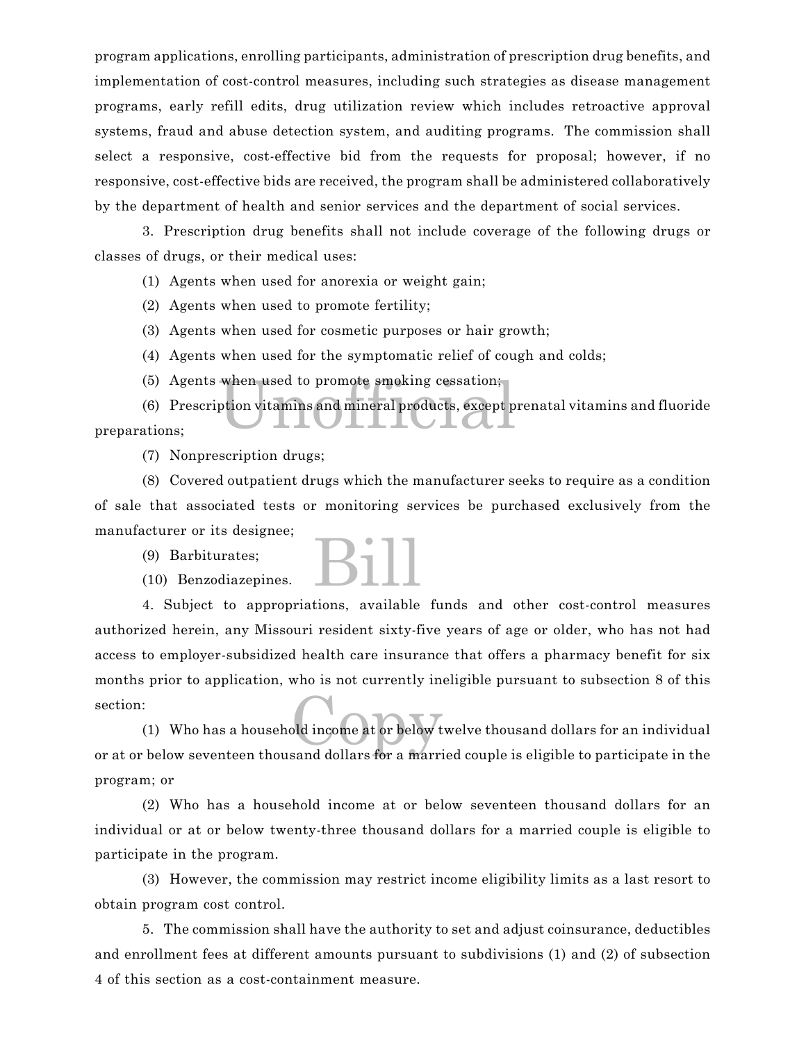program applications, enrolling participants, administration of prescription drug benefits, and implementation of cost-control measures, including such strategies as disease management programs, early refill edits, drug utilization review which includes retroactive approval systems, fraud and abuse detection system, and auditing programs. The commission shall select a responsive, cost-effective bid from the requests for proposal; however, if no responsive, cost-effective bids are received, the program shall be administered collaboratively by the department of health and senior services and the department of social services.

3. Prescription drug benefits shall not include coverage of the following drugs or classes of drugs, or their medical uses:

(1) Agents when used for anorexia or weight gain;

(2) Agents when used to promote fertility;

(3) Agents when used for cosmetic purposes or hair growth;

- (4) Agents when used for the symptomatic relief of cough and colds;
- (5) Agents when used to promote smoking cessation;

when used to promote smoking cessation;<br>ption vitamins and mineral products, except p (6) Prescription vitamins and mineral products, except prenatal vitamins and fluoride preparations;

(7) Nonprescription drugs;

(8) Covered outpatient drugs which the manufacturer seeks to require as a condition of sale that associated tests or monitoring services be purchased exclusively from the manufacturer or its designee;

(9) Barbiturates;

(10) Benzodiazepines.



4. Subject to appropriations, available funds and other cost-control measures authorized herein, any Missouri resident sixty-five years of age or older, who has not had access to employer-subsidized health care insurance that offers a pharmacy benefit for six months prior to application, who is not currently ineligible pursuant to subsection 8 of this section:

old income at or below t (1) Who has a household income at or below twelve thousand dollars for an individual or at or below seventeen thousand dollars for a married couple is eligible to participate in the program; or

(2) Who has a household income at or below seventeen thousand dollars for an individual or at or below twenty-three thousand dollars for a married couple is eligible to participate in the program.

(3) However, the commission may restrict income eligibility limits as a last resort to obtain program cost control.

5. The commission shall have the authority to set and adjust coinsurance, deductibles and enrollment fees at different amounts pursuant to subdivisions (1) and (2) of subsection 4 of this section as a cost-containment measure.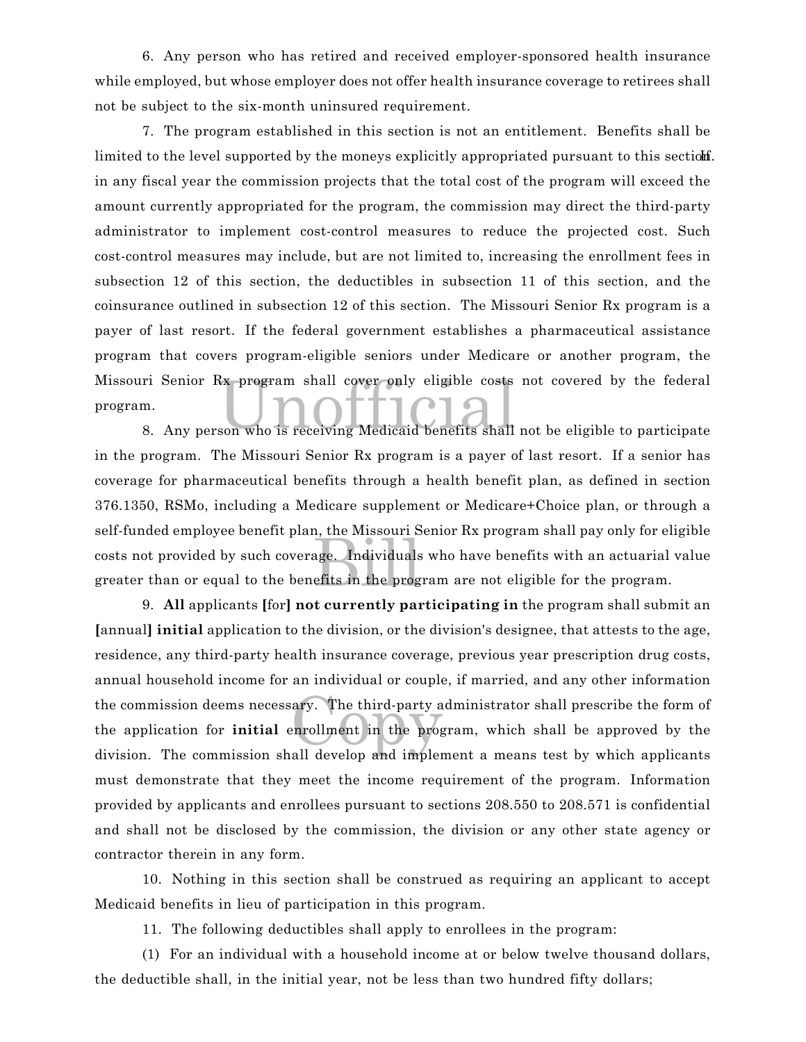6. Any person who has retired and received employer-sponsored health insurance while employed, but whose employer does not offer health insurance coverage to retirees shall not be subject to the six-month uninsured requirement.

ri Senior Rx program shall cover only eligible costs not covered by the federal<br>n.<br>8. Any person who is receiving Medicaid benefits shall not be eligible to participate 7. The program established in this section is not an entitlement. Benefits shall be limited to the level supported by the moneys explicitly appropriated pursuant to this section. in any fiscal year the commission projects that the total cost of the program will exceed the amount currently appropriated for the program, the commission may direct the third-party administrator to implement cost-control measures to reduce the projected cost. Such cost-control measures may include, but are not limited to, increasing the enrollment fees in subsection 12 of this section, the deductibles in subsection 11 of this section, and the coinsurance outlined in subsection 12 of this section. The Missouri Senior Rx program is a payer of last resort. If the federal government establishes a pharmaceutical assistance program that covers program-eligible seniors under Medicare or another program, the Missouri Senior Rx program shall cover only eligible costs not covered by the federal program.

age. Individuals<br>efits in the prog in the program. The Missouri Senior Rx program is a payer of last resort. If a senior has coverage for pharmaceutical benefits through a health benefit plan, as defined in section 376.1350, RSMo, including a Medicare supplement or Medicare+Choice plan, or through a self-funded employee benefit plan, the Missouri Senior Rx program shall pay only for eligible costs not provided by such coverage. Individuals who have benefits with an actuarial value greater than or equal to the benefits in the program are not eligible for the program.

ary. The third-party a<br>enrollment in the proget 9. **All** applicants **[**for**] not currently participating in** the program shall submit an **[**annual**] initial** application to the division, or the division's designee, that attests to the age, residence, any third-party health insurance coverage, previous year prescription drug costs, annual household income for an individual or couple, if married, and any other information the commission deems necessary. The third-party administrator shall prescribe the form of the application for **initial** enrollment in the program, which shall be approved by the division. The commission shall develop and implement a means test by which applicants must demonstrate that they meet the income requirement of the program. Information provided by applicants and enrollees pursuant to sections 208.550 to 208.571 is confidential and shall not be disclosed by the commission, the division or any other state agency or contractor therein in any form.

10. Nothing in this section shall be construed as requiring an applicant to accept Medicaid benefits in lieu of participation in this program.

11. The following deductibles shall apply to enrollees in the program:

(1) For an individual with a household income at or below twelve thousand dollars, the deductible shall, in the initial year, not be less than two hundred fifty dollars;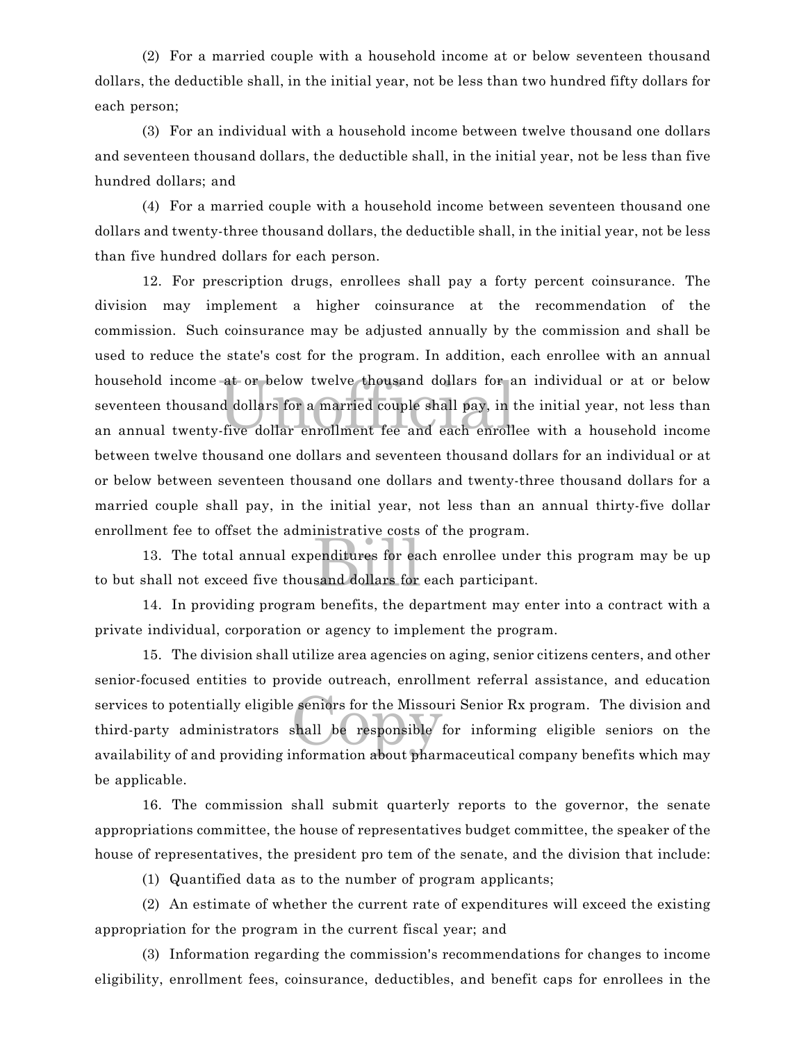(2) For a married couple with a household income at or below seventeen thousand dollars, the deductible shall, in the initial year, not be less than two hundred fifty dollars for each person;

(3) For an individual with a household income between twelve thousand one dollars and seventeen thousand dollars, the deductible shall, in the initial year, not be less than five hundred dollars; and

(4) For a married couple with a household income between seventeen thousand one dollars and twenty-three thousand dollars, the deductible shall, in the initial year, not be less than five hundred dollars for each person.

at or below twelve thousand dollars for a<br>d dollars for a married couple shall pay, in t<br>five dollar enrollment fee and each enroll 12. For prescription drugs, enrollees shall pay a forty percent coinsurance. The division may implement a higher coinsurance at the recommendation of the commission. Such coinsurance may be adjusted annually by the commission and shall be used to reduce the state's cost for the program. In addition, each enrollee with an annual household income at or below twelve thousand dollars for an individual or at or below seventeen thousand dollars for a married couple shall pay, in the initial year, not less than an annual twenty-five dollar enrollment fee and each enrollee with a household income between twelve thousand one dollars and seventeen thousand dollars for an individual or at or below between seventeen thousand one dollars and twenty-three thousand dollars for a married couple shall pay, in the initial year, not less than an annual thirty-five dollar enrollment fee to offset the administrative costs of the program.

explaint<br>Billiares for eased<br>and dollars for 13. The total annual expenditures for each enrollee under this program may be up to but shall not exceed five thousand dollars for each participant.

14. In providing program benefits, the department may enter into a contract with a private individual, corporation or agency to implement the program.

Exercises for the Missourier<br>Shall be responsible<br>Information about phar 15. The division shall utilize area agencies on aging, senior citizens centers, and other senior-focused entities to provide outreach, enrollment referral assistance, and education services to potentially eligible seniors for the Missouri Senior Rx program. The division and third-party administrators shall be responsible for informing eligible seniors on the availability of and providing information about pharmaceutical company benefits which may be applicable.

16. The commission shall submit quarterly reports to the governor, the senate appropriations committee, the house of representatives budget committee, the speaker of the house of representatives, the president pro tem of the senate, and the division that include:

(1) Quantified data as to the number of program applicants;

(2) An estimate of whether the current rate of expenditures will exceed the existing appropriation for the program in the current fiscal year; and

(3) Information regarding the commission's recommendations for changes to income eligibility, enrollment fees, coinsurance, deductibles, and benefit caps for enrollees in the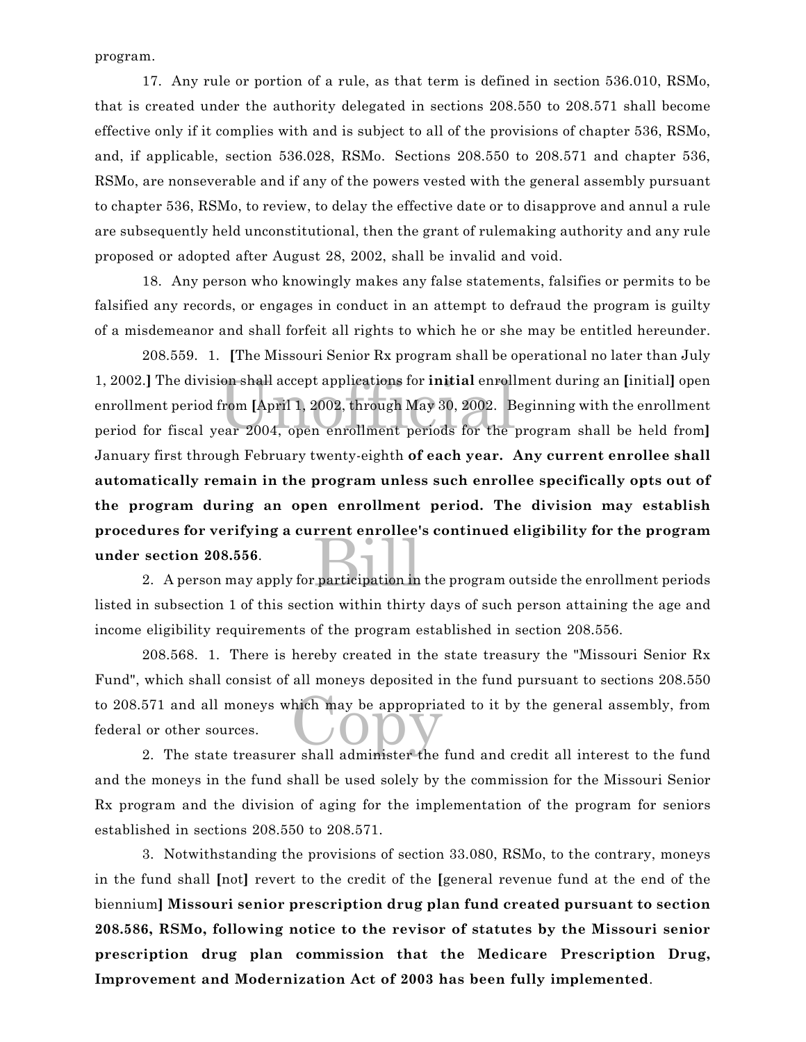program.

17. Any rule or portion of a rule, as that term is defined in section 536.010, RSMo, that is created under the authority delegated in sections 208.550 to 208.571 shall become effective only if it complies with and is subject to all of the provisions of chapter 536, RSMo, and, if applicable, section 536.028, RSMo. Sections 208.550 to 208.571 and chapter 536, RSMo, are nonseverable and if any of the powers vested with the general assembly pursuant to chapter 536, RSMo, to review, to delay the effective date or to disapprove and annul a rule are subsequently held unconstitutional, then the grant of rulemaking authority and any rule proposed or adopted after August 28, 2002, shall be invalid and void.

18. Any person who knowingly makes any false statements, falsifies or permits to be falsified any records, or engages in conduct in an attempt to defraud the program is guilty of a misdemeanor and shall forfeit all rights to which he or she may be entitled hereunder.

ion shall accept applications for **initial** enroll<br>from [April 1, 2002, through May 30, 2002. B<br>ear 2004, open enrollment periods for the participation in 208.559. 1. **[**The Missouri Senior Rx program shall be operational no later than July 1, 2002.**]** The division shall accept applications for **initial** enrollment during an **[**initial**]** open enrollment period from **[**April 1, 2002, through May 30, 2002. Beginning with the enrollment period for fiscal year 2004, open enrollment periods for the program shall be held from**]** January first through February twenty-eighth **of each year. Any current enrollee shall automatically remain in the program unless such enrollee specifically opts out of the program during an open enrollment period. The division may establish procedures for verifying a current enrollee's continued eligibility for the program under section 208.556**.

2. A person may apply for participation in the program outside the enrollment periods listed in subsection 1 of this section within thirty days of such person attaining the age and income eligibility requirements of the program established in section 208.556.

to 208.571 and all moneys which may be appropriated to it by the general assembly, from<br>federal or other sources. 208.568. 1. There is hereby created in the state treasury the "Missouri Senior Rx Fund", which shall consist of all moneys deposited in the fund pursuant to sections 208.550 federal or other sources.

2. The state treasurer shall administer the fund and credit all interest to the fund and the moneys in the fund shall be used solely by the commission for the Missouri Senior Rx program and the division of aging for the implementation of the program for seniors established in sections 208.550 to 208.571.

3. Notwithstanding the provisions of section 33.080, RSMo, to the contrary, moneys in the fund shall **[**not**]** revert to the credit of the **[**general revenue fund at the end of the biennium**] Missouri senior prescription drug plan fund created pursuant to section 208.586, RSMo, following notice to the revisor of statutes by the Missouri senior prescription drug plan commission that the Medicare Prescription Drug, Improvement and Modernization Act of 2003 has been fully implemented**.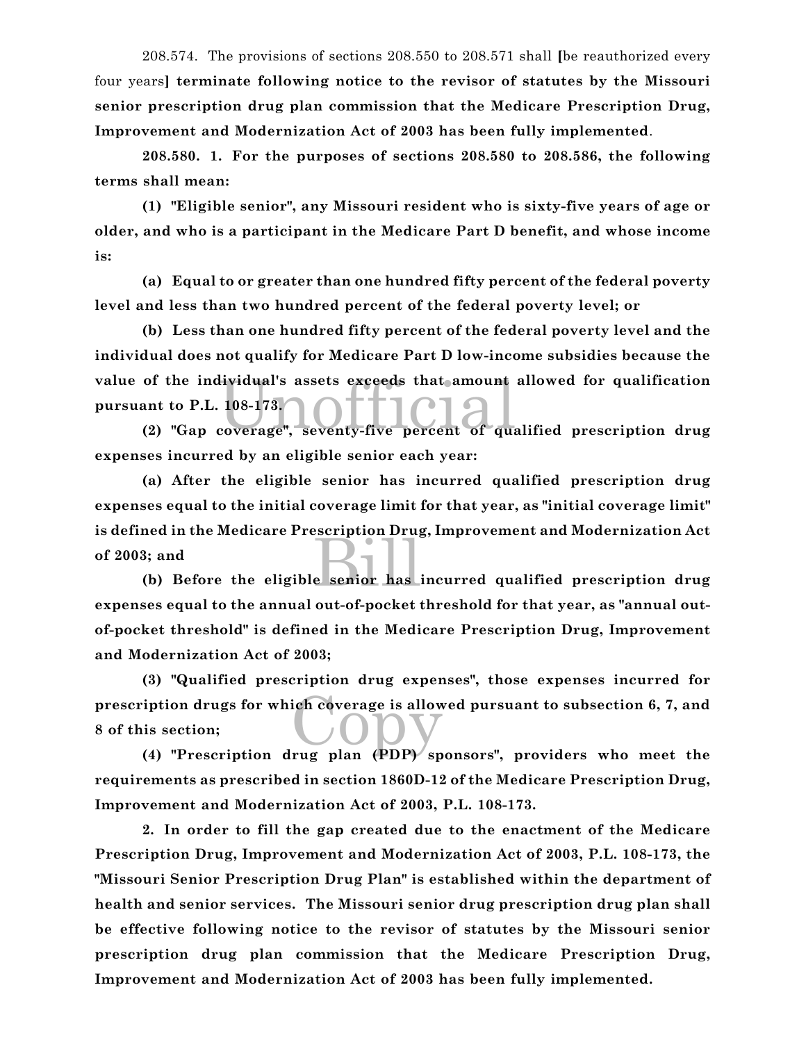208.574. The provisions of sections 208.550 to 208.571 shall **[**be reauthorized every four years**] terminate following notice to the revisor of statutes by the Missouri senior prescription drug plan commission that the Medicare Prescription Drug, Improvement and Modernization Act of 2003 has been fully implemented**.

**208.580. 1. For the purposes of sections 208.580 to 208.586, the following terms shall mean:**

**(1) "Eligible senior", any Missouri resident who is sixty-five years of age or older, and who is a participant in the Medicare Part D benefit, and whose income is:**

**(a) Equal to or greater than one hundred fifty percent of the federal poverty level and less than two hundred percent of the federal poverty level; or**

of the individual's assets exceeds that amount allowed for qualification<br>ant to P.L. 108-173.<br>(2) "Gap coverage", seventy-five percent of qualified prescription drug **(b) Less than one hundred fifty percent of the federal poverty level and the individual does not qualify for Medicare Part D low-income subsidies because the value of the individual's assets exceeds that amount allowed for qualification pursuant to P.L. 108-173.**

**expenses incurred by an eligible senior each year:**

e senior has **(a) After the eligible senior has incurred qualified prescription drug expenses equal to the initial coverage limit for that year, as "initial coverage limit" is defined in the Medicare Prescription Drug, Improvement and Modernization Act of 2003; and**

**(b) Before the eligible senior has incurred qualified prescription drug expenses equal to the annual out-of-pocket threshold for that year, as "annual outof-pocket threshold" is defined in the Medicare Prescription Drug, Improvement and Modernization Act of 2003;**

prescription drugs for which coverage is allowed pursuant to subsection 6, 7, and<br>8 of this section;<br>(4) "Prescription drug plan (PDP) sponsors" providers who meet the **(3) "Qualified prescription drug expenses", those expenses incurred for 8 of this section;**

**(4) "Prescription drug plan (PDP) sponsors", providers who meet the requirements as prescribed in section 1860D-12 of the Medicare Prescription Drug, Improvement and Modernization Act of 2003, P.L. 108-173.**

**2. In order to fill the gap created due to the enactment of the Medicare Prescription Drug, Improvement and Modernization Act of 2003, P.L. 108-173, the "Missouri Senior Prescription Drug Plan" is established within the department of health and senior services. The Missouri senior drug prescription drug plan shall be effective following notice to the revisor of statutes by the Missouri senior prescription drug plan commission that the Medicare Prescription Drug, Improvement and Modernization Act of 2003 has been fully implemented.**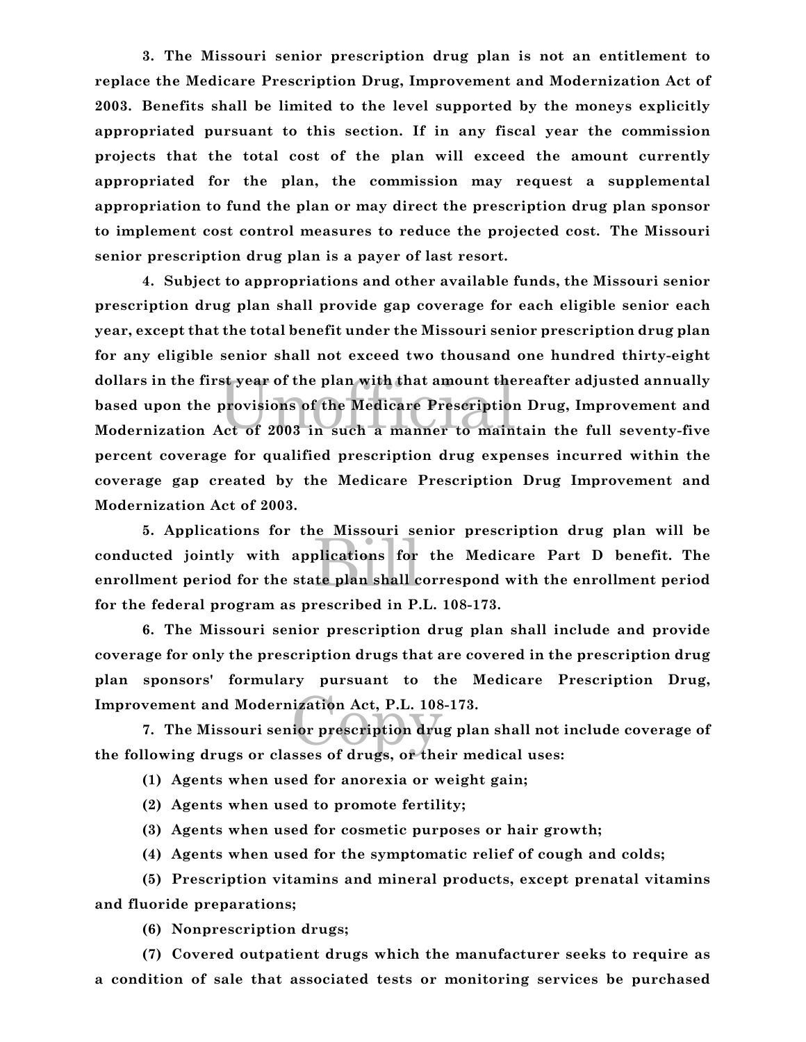**3. The Missouri senior prescription drug plan is not an entitlement to replace the Medicare Prescription Drug, Improvement and Modernization Act of 2003. Benefits shall be limited to the level supported by the moneys explicitly appropriated pursuant to this section. If in any fiscal year the commission projects that the total cost of the plan will exceed the amount currently appropriated for the plan, the commission may request a supplemental appropriation to fund the plan or may direct the prescription drug plan sponsor to implement cost control measures to reduce the projected cost. The Missouri senior prescription drug plan is a payer of last resort.** 

st year of the plan with that amount the<br>provisions of the Medicare Prescription<br>Act of 2003 in such a manner to main **4. Subject to appropriations and other available funds, the Missouri senior prescription drug plan shall provide gap coverage for each eligible senior each year, except that the total benefit under the Missouri senior prescription drug plan for any eligible senior shall not exceed two thousand one hundred thirty-eight dollars in the first year of the plan with that amount thereafter adjusted annually based upon the provisions of the Medicare Prescription Drug, Improvement and Modernization Act of 2003 in such a manner to maintain the full seventy-five percent coverage for qualified prescription drug expenses incurred within the coverage gap created by the Medicare Prescription Drug Improvement and Modernization Act of 2003.** 

plications for<br>plications for<br>te plan shall c **5. Applications for the Missouri senior prescription drug plan will be conducted jointly with applications for the Medicare Part D benefit. The enrollment period for the state plan shall correspond with the enrollment period for the federal program as prescribed in P.L. 108-173.**

**6. The Missouri senior prescription drug plan shall include and provide coverage for only the prescription drugs that are covered in the prescription drug plan sponsors' formulary pursuant to the Medicare Prescription Drug, Improvement and Modernization Act, P.L. 108-173.**

ization Act, P.L. 108<br>ior prescription dru **7. The Missouri senior prescription drug plan shall not include coverage of the following drugs or classes of drugs, or their medical uses:**

**(1) Agents when used for anorexia or weight gain;**

**(2) Agents when used to promote fertility;**

**(3) Agents when used for cosmetic purposes or hair growth;**

**(4) Agents when used for the symptomatic relief of cough and colds;**

**(5) Prescription vitamins and mineral products, except prenatal vitamins and fluoride preparations;**

**(6) Nonprescription drugs;**

**(7) Covered outpatient drugs which the manufacturer seeks to require as a condition of sale that associated tests or monitoring services be purchased**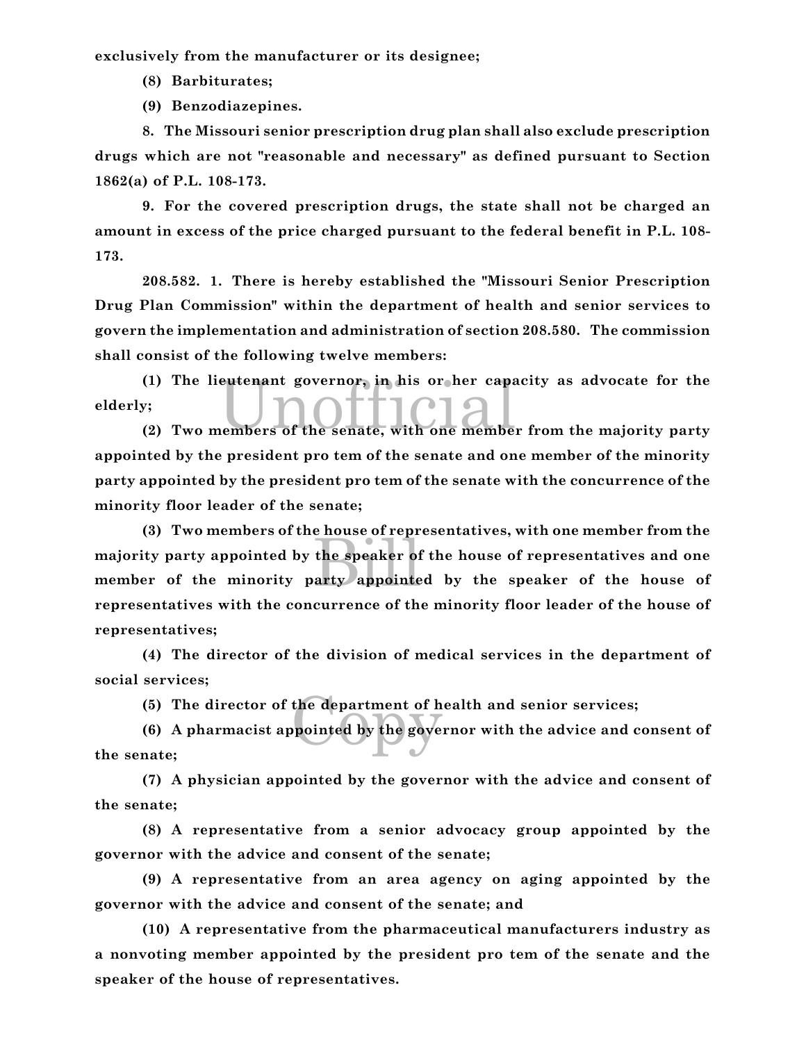**exclusively from the manufacturer or its designee;**

**(8) Barbiturates;**

**(9) Benzodiazepines.**

**8. The Missouri senior prescription drug plan shall also exclude prescription drugs which are not "reasonable and necessary" as defined pursuant to Section 1862(a) of P.L. 108-173.**

**9. For the covered prescription drugs, the state shall not be charged an amount in excess of the price charged pursuant to the federal benefit in P.L. 108- 173.**

**208.582. 1. There is hereby established the "Missouri Senior Prescription Drug Plan Commission" within the department of health and senior services to govern the implementation and administration of section 208.580. The commission shall consist of the following twelve members:**

(1) The lieutenant governor, in his or her capacity as advocate for the<br>
y;<br>
(2) Two members of the senate, with one member from the majority party **(1) The lieutenant governor, in his or her capacity as advocate for the elderly;**

**appointed by the president pro tem of the senate and one member of the minority party appointed by the president pro tem of the senate with the concurrence of the minority floor leader of the senate;**

the speaker of<br>arty appointe **(3) Two members of the house of representatives, with one member from the majority party appointed by the speaker of the house of representatives and one member of the minority party appointed by the speaker of the house of representatives with the concurrence of the minority floor leader of the house of representatives;**

**(4) The director of the division of medical services in the department of social services;**

**(5) The director of the department of health and senior services;**

the department of h<br>pointed by the gove **(6) A pharmacist appointed by the governor with the advice and consent of the senate;**

**(7) A physician appointed by the governor with the advice and consent of the senate;**

**(8) A representative from a senior advocacy group appointed by the governor with the advice and consent of the senate;**

**(9) A representative from an area agency on aging appointed by the governor with the advice and consent of the senate; and**

**(10) A representative from the pharmaceutical manufacturers industry as a nonvoting member appointed by the president pro tem of the senate and the speaker of the house of representatives.**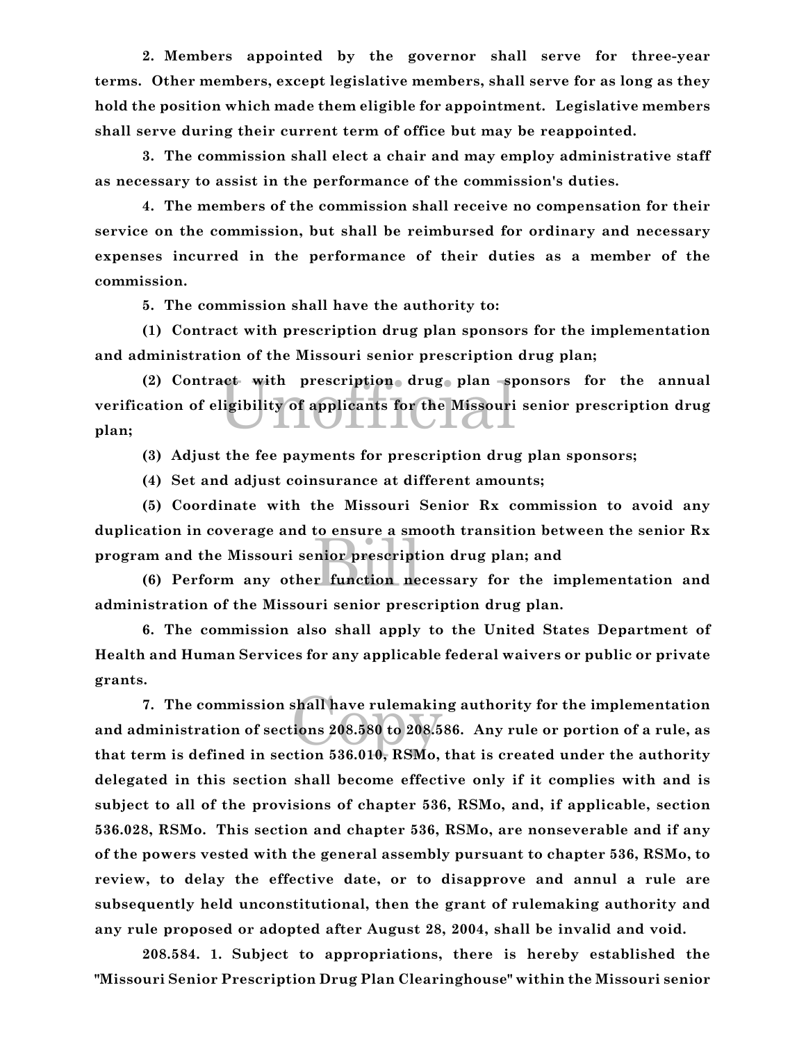**2. Members appointed by the governor shall serve for three-year terms. Other members, except legislative members, shall serve for as long as they hold the position which made them eligible for appointment. Legislative members shall serve during their current term of office but may be reappointed.**

**3. The commission shall elect a chair and may employ administrative staff as necessary to assist in the performance of the commission's duties.**

**4. The members of the commission shall receive no compensation for their service on the commission, but shall be reimbursed for ordinary and necessary expenses incurred in the performance of their duties as a member of the commission.**

**5. The commission shall have the authority to:**

**(1) Contract with prescription drug plan sponsors for the implementation and administration of the Missouri senior prescription drug plan;**

act with prescription drug plan sp<br>ligibility of applicants for the Missouri **(2) Contract with prescription drug plan sponsors for the annual verification of eligibility of applicants for the Missouri senior prescription drug plan;**

**(3) Adjust the fee payments for prescription drug plan sponsors;**

**(4) Set and adjust coinsurance at different amounts;**

nior prescript<br>r function ne **(5) Coordinate with the Missouri Senior Rx commission to avoid any duplication in coverage and to ensure a smooth transition between the senior Rx program and the Missouri senior prescription drug plan; and**

**(6) Perform any other function necessary for the implementation and administration of the Missouri senior prescription drug plan.**

**6. The commission also shall apply to the United States Department of Health and Human Services for any applicable federal waivers or public or private grants.**

shall have rulemakir<br>cions 208.580 to 208.5<br>ttion 536.010 - RSMo **7. The commission shall have rulemaking authority for the implementation and administration of sections 208.580 to 208.586. Any rule or portion of a rule, as that term is defined in section 536.010, RSMo, that is created under the authority delegated in this section shall become effective only if it complies with and is subject to all of the provisions of chapter 536, RSMo, and, if applicable, section 536.028, RSMo. This section and chapter 536, RSMo, are nonseverable and if any of the powers vested with the general assembly pursuant to chapter 536, RSMo, to review, to delay the effective date, or to disapprove and annul a rule are subsequently held unconstitutional, then the grant of rulemaking authority and any rule proposed or adopted after August 28, 2004, shall be invalid and void.**

**208.584. 1. Subject to appropriations, there is hereby established the "Missouri Senior Prescription Drug Plan Clearinghouse" within the Missouri senior**